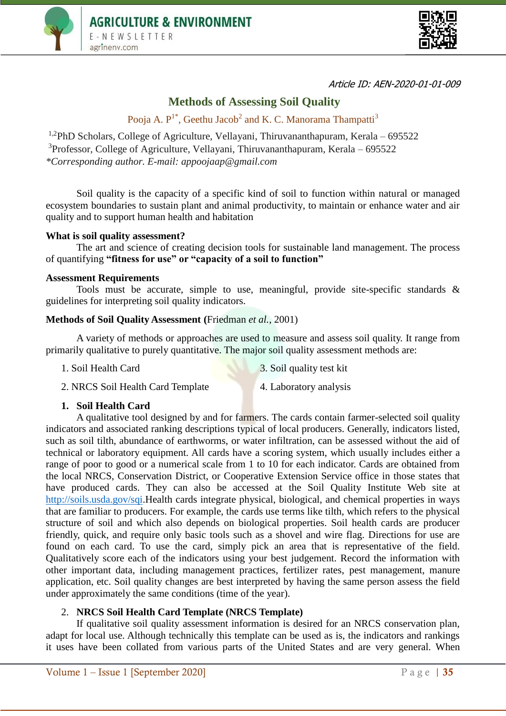



Article ID: AEN-2020-01-01-009

# **Methods of Assessing Soil Quality**

Pooja A. P<sup>1\*</sup>, Geethu Jacob<sup>2</sup> and K. C. Manorama Thampatti<sup>3</sup>

<sup>1,2</sup>PhD Scholars, College of Agriculture, Vellayani, Thiruvananthapuram, Kerala – 695522 <sup>3</sup>Professor, College of Agriculture, Vellayani, Thiruvananthapuram, Kerala – 695522 *\*Corresponding author. E-mail: appoojaap@gmail.com*

Soil quality is the capacity of a specific kind of soil to function within natural or managed ecosystem boundaries to sustain plant and animal productivity, to maintain or enhance water and air quality and to support human health and habitation

#### **What is soil quality assessment?**

The art and science of creating decision tools for sustainable land management. The process of quantifying **"fitness for use" or "capacity of a soil to function"**

#### **Assessment Requirements**

Tools must be accurate, simple to use, meaningful, provide site-specific standards & guidelines for interpreting soil quality indicators.

# **Methods of Soil Quality Assessment (**Friedman *et al.,* 2001)

A variety of methods or approaches are used to measure and assess soil quality. It range from primarily qualitative to purely quantitative. The major soil quality assessment methods are:

1. Soil Health Card 3. Soil quality test kit

- 2. NRCS Soil Health Card Template 4. Laboratory analysis
	-
- 

# **1. Soil Health Card**

A qualitative tool designed by and for farmers. The cards contain farmer-selected soil quality indicators and associated ranking descriptions typical of local producers. Generally, indicators listed, such as soil tilth, abundance of earthworms, or water infiltration, can be assessed without the aid of technical or laboratory equipment. All cards have a scoring system, which usually includes either a range of poor to good or a numerical scale from 1 to 10 for each indicator. Cards are obtained from the local NRCS, Conservation District, or Cooperative Extension Service office in those states that have produced cards. They can also be accessed at the Soil Quality Institute Web site at [http://soils.usda.gov/sqi.](http://soils.usda.gov/sqi)Health cards integrate physical, biological, and chemical properties in ways that are familiar to producers. For example, the cards use terms like tilth, which refers to the physical structure of soil and which also depends on biological properties. Soil health cards are producer friendly, quick, and require only basic tools such as a shovel and wire flag. Directions for use are found on each card. To use the card, simply pick an area that is representative of the field. Qualitatively score each of the indicators using your best judgement. Record the information with other important data, including management practices, fertilizer rates, pest management, manure application, etc. Soil quality changes are best interpreted by having the same person assess the field under approximately the same conditions (time of the year).

# 2. **NRCS Soil Health Card Template (NRCS Template)**

If qualitative soil quality assessment information is desired for an NRCS conservation plan, adapt for local use. Although technically this template can be used as is, the indicators and rankings it uses have been collated from various parts of the United States and are very general. When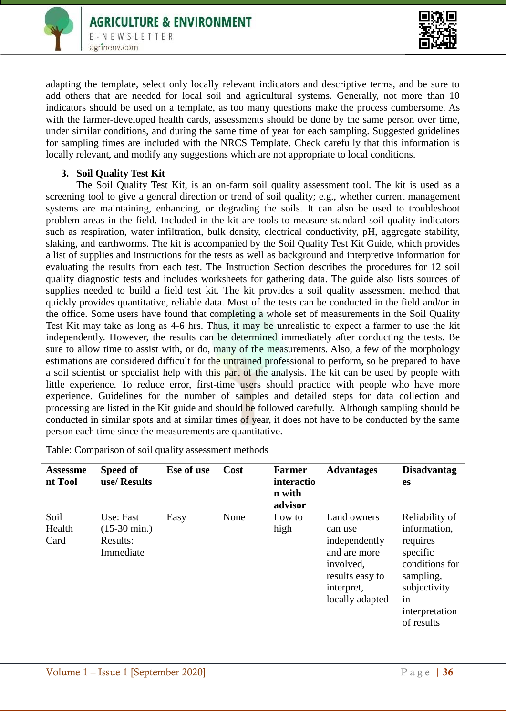



adapting the template, select only locally relevant indicators and descriptive terms, and be sure to add others that are needed for local soil and agricultural systems. Generally, not more than 10 indicators should be used on a template, as too many questions make the process cumbersome. As with the farmer-developed health cards, assessments should be done by the same person over time, under similar conditions, and during the same time of year for each sampling. Suggested guidelines for sampling times are included with the NRCS Template. Check carefully that this information is locally relevant, and modify any suggestions which are not appropriate to local conditions.

#### **3. Soil Quality Test Kit**

The Soil Quality Test Kit, is an on-farm soil quality assessment tool. The kit is used as a screening tool to give a general direction or trend of soil quality; e.g., whether current management systems are maintaining, enhancing, or degrading the soils. It can also be used to troubleshoot problem areas in the field. Included in the kit are tools to measure standard soil quality indicators such as respiration, water infiltration, bulk density, electrical conductivity, pH, aggregate stability, slaking, and earthworms. The kit is accompanied by the Soil Quality Test Kit Guide, which provides a list of supplies and instructions for the tests as well as background and interpretive information for evaluating the results from each test. The Instruction Section describes the procedures for 12 soil quality diagnostic tests and includes worksheets for gathering data. The guide also lists sources of supplies needed to build a field test kit. The kit provides a soil quality assessment method that quickly provides quantitative, reliable data. Most of the tests can be conducted in the field and/or in the office. Some users have found that completing a whole set of measurements in the Soil Quality Test Kit may take as long as 4-6 hrs. Thus, it may be unrealistic to expect a farmer to use the kit independently. However, the results can be determined immediately after conducting the tests. Be sure to allow time to assist with, or do, many of the measurements. Also, a few of the morphology estimations are considered difficult for the untrained professional to perform, so be prepared to have a soil scientist or specialist help with this part of the analysis. The kit can be used by people with little experience. To reduce error, first-time users should practice with people who have more experience. Guidelines for the number of samples and detailed steps for data collection and processing are listed in the Kit guide and should be followed carefully. Although sampling should be conducted in similar spots and at similar times of year, it does not have to be conducted by the same person each time since the measurements are quantitative.

| <b>Assessme</b><br>nt Tool | Speed of<br>use/Results                                      | Ese of use | <b>Cost</b> | <b>Farmer</b><br>interactio<br>n with<br>advisor | <b>Advantages</b>                                                    |
|----------------------------|--------------------------------------------------------------|------------|-------------|--------------------------------------------------|----------------------------------------------------------------------|
| Soil<br>Health<br>Card     | Use: Fast<br>$(15-30 \text{ min.})$<br>Results:<br>Immediate | Easy       | None        | Low to<br>high                                   | Land owners<br>can use<br>independently<br>and are more<br>involved. |

Table: Comparison of soil quality assessment methods

**Advantages Disadvantag**

Reliability of information, requires specific

conditions for sampling, subjectivity

interpretation of results

**es**

in

results easy to interpret, locally adapted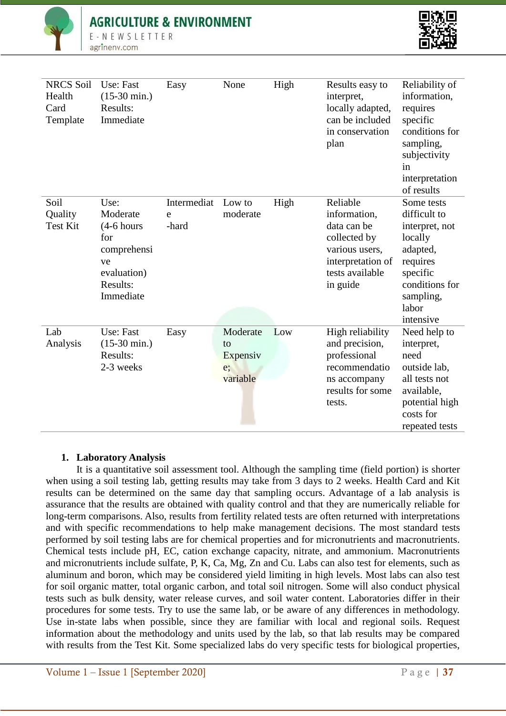# **AGRICULTURE & ENVIRONMENT**





| <b>NRCS Soil</b><br>Health<br>Card<br>Template | Use: Fast<br>$(15-30 \text{ min.})$<br>Results:<br>Immediate                                         | Easy                      | None                                         | High | Results easy to<br>interpret,<br>locally adapted,<br>can be included<br>in conservation<br>plan                               | Reliability of<br>information,<br>requires<br>specific<br>conditions for<br>sampling,<br>subjectivity<br>in<br>interpretation<br>of results      |
|------------------------------------------------|------------------------------------------------------------------------------------------------------|---------------------------|----------------------------------------------|------|-------------------------------------------------------------------------------------------------------------------------------|--------------------------------------------------------------------------------------------------------------------------------------------------|
| Soil<br>Quality<br><b>Test Kit</b>             | Use:<br>Moderate<br>$(4-6$ hours<br>for<br>comprehensi<br>ve<br>evaluation)<br>Results:<br>Immediate | Intermediat<br>e<br>-hard | Low to<br>moderate                           | High | Reliable<br>information,<br>data can be<br>collected by<br>various users,<br>interpretation of<br>tests available<br>in guide | Some tests<br>difficult to<br>interpret, not<br>locally<br>adapted,<br>requires<br>specific<br>conditions for<br>sampling,<br>labor<br>intensive |
| Lab<br>Analysis                                | Use: Fast<br>$(15-30 \text{ min.})$<br>Results:<br>2-3 weeks                                         | Easy                      | Moderate<br>to<br>Expensiv<br>e;<br>variable | Low  | High reliability<br>and precision,<br>professional<br>recommendatio<br>ns accompany<br>results for some<br>tests.             | Need help to<br>interpret,<br>need<br>outside lab,<br>all tests not<br>available,<br>potential high<br>costs for<br>repeated tests               |

# **1. Laboratory Analysis**

It is a quantitative soil assessment tool. Although the sampling time (field portion) is shorter when using a soil testing lab, getting results may take from 3 days to 2 weeks. Health Card and Kit results can be determined on the same day that sampling occurs. Advantage of a lab analysis is assurance that the results are obtained with quality control and that they are numerically reliable for long-term comparisons. Also, results from fertility related tests are often returned with interpretations and with specific recommendations to help make management decisions. The most standard tests performed by soil testing labs are for chemical properties and for micronutrients and macronutrients. Chemical tests include pH, EC, cation exchange capacity, nitrate, and ammonium. Macronutrients and micronutrients include sulfate, P, K, Ca, Mg, Zn and Cu. Labs can also test for elements, such as aluminum and boron, which may be considered yield limiting in high levels. Most labs can also test for soil organic matter, total organic carbon, and total soil nitrogen. Some will also conduct physical tests such as bulk density, water release curves, and soil water content. Laboratories differ in their procedures for some tests. Try to use the same lab, or be aware of any differences in methodology. Use in-state labs when possible, since they are familiar with local and regional soils. Request information about the methodology and units used by the lab, so that lab results may be compared with results from the Test Kit. Some specialized labs do very specific tests for biological properties,